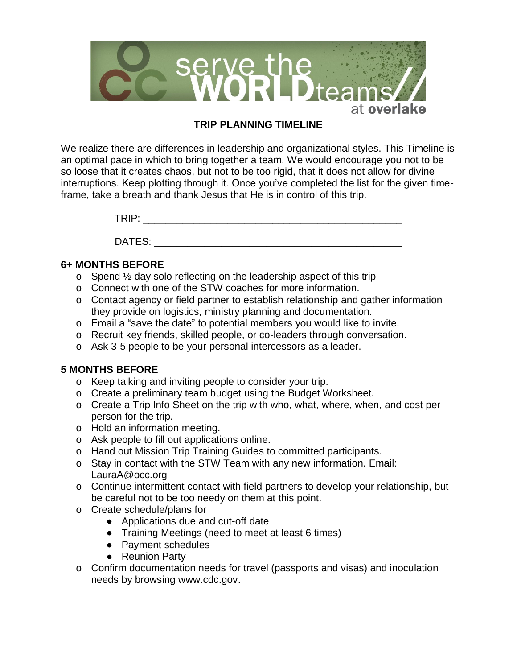

## **TRIP PLANNING TIMELINE**

We realize there are differences in leadership and organizational styles. This Timeline is an optimal pace in which to bring together a team. We would encourage you not to be so loose that it creates chaos, but not to be too rigid, that it does not allow for divine interruptions. Keep plotting through it. Once you've completed the list for the given timeframe, take a breath and thank Jesus that He is in control of this trip.

TRIP: \_\_\_\_\_\_\_\_\_\_\_\_\_\_\_\_\_\_\_\_\_\_\_\_\_\_\_\_\_\_\_\_\_\_\_\_\_\_\_\_\_\_\_\_\_\_

DATES: where the contract of  $\mathcal{L}$ 

## **6+ MONTHS BEFORE**

- o Spend ½ day solo reflecting on the leadership aspect of this trip
- o Connect with one of the STW coaches for more information.
- o Contact agency or field partner to establish relationship and gather information they provide on logistics, ministry planning and documentation.
- o Email a "save the date" to potential members you would like to invite.
- o Recruit key friends, skilled people, or co-leaders through conversation.
- o Ask 3-5 people to be your personal intercessors as a leader.

## **5 MONTHS BEFORE**

- o Keep talking and inviting people to consider your trip.
- o Create a preliminary team budget using the Budget Worksheet.
- o Create a Trip Info Sheet on the trip with who, what, where, when, and cost per person for the trip.
- o Hold an information meeting.
- o Ask people to fill out applications online.
- o Hand out Mission Trip Training Guides to committed participants.
- o Stay in contact with the STW Team with any new information. Email: LauraA@occ.org
- o Continue intermittent contact with field partners to develop your relationship, but be careful not to be too needy on them at this point.
- o Create schedule/plans for
	- Applications due and cut-off date
	- Training Meetings (need to meet at least 6 times)
	- Payment schedules
	- Reunion Party
- o Confirm documentation needs for travel (passports and visas) and inoculation needs by browsing www.cdc.gov.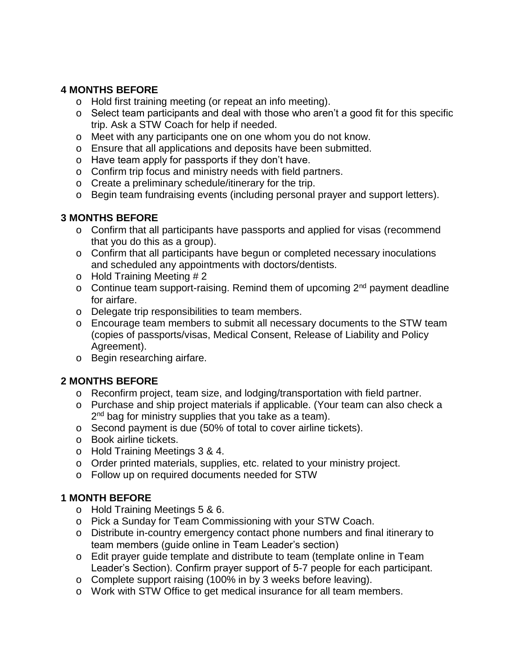## **4 MONTHS BEFORE**

- o Hold first training meeting (or repeat an info meeting).
- o Select team participants and deal with those who aren't a good fit for this specific trip. Ask a STW Coach for help if needed.
- o Meet with any participants one on one whom you do not know.
- o Ensure that all applications and deposits have been submitted.
- o Have team apply for passports if they don't have.
- o Confirm trip focus and ministry needs with field partners.
- o Create a preliminary schedule/itinerary for the trip.
- o Begin team fundraising events (including personal prayer and support letters).

## **3 MONTHS BEFORE**

- o Confirm that all participants have passports and applied for visas (recommend that you do this as a group).
- o Confirm that all participants have begun or completed necessary inoculations and scheduled any appointments with doctors/dentists.
- o Hold Training Meeting # 2
- o Continue team support-raising. Remind them of upcoming  $2<sup>nd</sup>$  payment deadline for airfare.
- o Delegate trip responsibilities to team members.
- o Encourage team members to submit all necessary documents to the STW team (copies of passports/visas, Medical Consent, Release of Liability and Policy Agreement).
- o Begin researching airfare.

# **2 MONTHS BEFORE**

- o Reconfirm project, team size, and lodging/transportation with field partner.
- o Purchase and ship project materials if applicable. (Your team can also check a 2<sup>nd</sup> bag for ministry supplies that you take as a team).
- o Second payment is due (50% of total to cover airline tickets).
- o Book airline tickets.
- o Hold Training Meetings 3 & 4.
- o Order printed materials, supplies, etc. related to your ministry project.
- o Follow up on required documents needed for STW

## **1 MONTH BEFORE**

- o Hold Training Meetings 5 & 6.
- o Pick a Sunday for Team Commissioning with your STW Coach.
- o Distribute in-country emergency contact phone numbers and final itinerary to team members (guide online in Team Leader's section)
- o Edit prayer guide template and distribute to team (template online in Team Leader's Section). Confirm prayer support of 5-7 people for each participant.
- o Complete support raising (100% in by 3 weeks before leaving).
- o Work with STW Office to get medical insurance for all team members.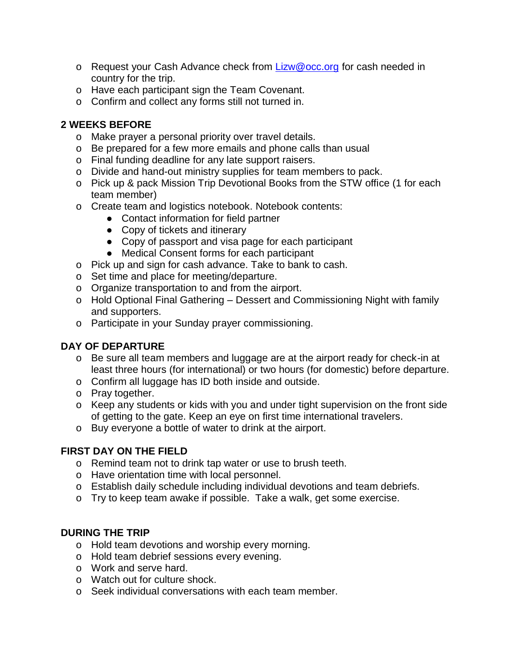- o Request your Cash Advance check from [Lizw@occ.org](mailto:Lizw@occ.org) for cash needed in country for the trip.
- o Have each participant sign the Team Covenant.
- o Confirm and collect any forms still not turned in.

## **2 WEEKS BEFORE**

- o Make prayer a personal priority over travel details.
- o Be prepared for a few more emails and phone calls than usual
- o Final funding deadline for any late support raisers.
- o Divide and hand-out ministry supplies for team members to pack.
- o Pick up & pack Mission Trip Devotional Books from the STW office (1 for each team member)
- o Create team and logistics notebook. Notebook contents:
	- Contact information for field partner
	- Copy of tickets and itinerary
	- Copy of passport and visa page for each participant
	- Medical Consent forms for each participant
- o Pick up and sign for cash advance. Take to bank to cash.
- o Set time and place for meeting/departure.
- o Organize transportation to and from the airport.
- o Hold Optional Final Gathering Dessert and Commissioning Night with family and supporters.
- o Participate in your Sunday prayer commissioning.

# **DAY OF DEPARTURE**

- o Be sure all team members and luggage are at the airport ready for check-in at least three hours (for international) or two hours (for domestic) before departure.
- o Confirm all luggage has ID both inside and outside.
- o Pray together.
- o Keep any students or kids with you and under tight supervision on the front side of getting to the gate. Keep an eye on first time international travelers.
- o Buy everyone a bottle of water to drink at the airport.

# **FIRST DAY ON THE FIELD**

- o Remind team not to drink tap water or use to brush teeth.
- o Have orientation time with local personnel.
- o Establish daily schedule including individual devotions and team debriefs.
- o Try to keep team awake if possible. Take a walk, get some exercise.

# **DURING THE TRIP**

- o Hold team devotions and worship every morning.
- o Hold team debrief sessions every evening.
- o Work and serve hard.
- o Watch out for culture shock.
- o Seek individual conversations with each team member.